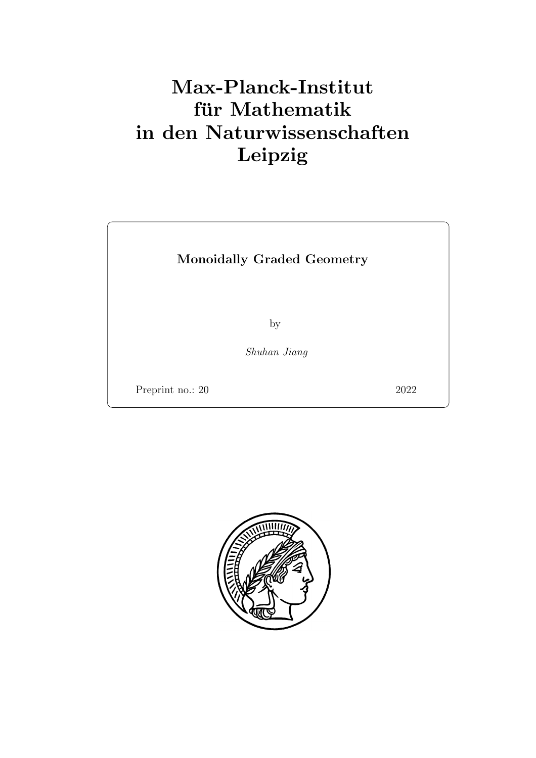# Max-Planck-Institut für Mathematik in den Naturwissenschaften Leipzig

## Monoidally Graded Geometry

by

Shuhan Jiang

Preprint no.: 20 2022

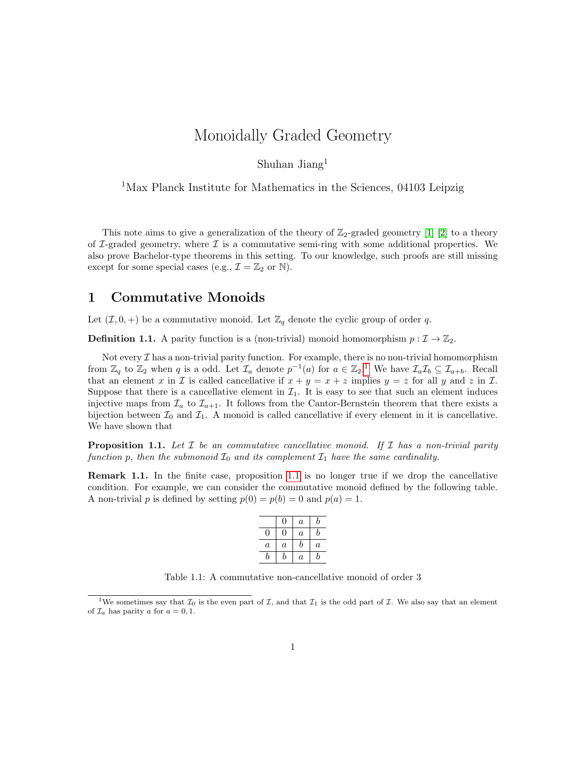## Monoidally Graded Geometry

Shuhan Jiang<sup>1</sup>

<sup>1</sup>Max Planck Institute for Mathematics in the Sciences, 04103 Leipzig

This note aims to give a generalization of the theory of  $\mathbb{Z}_2$ -graded geometry [\[1\]](#page-18-0) [\[2\]](#page-18-1) to a theory of  $\mathcal{I}\text{-graded geometry}$ , where  $\mathcal{I}$  is a commutative semi-ring with some additional properties. We also prove Bachelor-type theorems in this setting. To our knowledge, such proofs are still missing except for some special cases (e.g.,  $\mathcal{I} = \mathbb{Z}_2$  or  $\mathbb{N}$ ).

#### 1 Commutative Monoids

Let  $(\mathcal{I}, 0, +)$  be a commutative monoid. Let  $\mathbb{Z}_q$  denote the cyclic group of order q.

**Definition 1.1.** A parity function is a (non-trivial) monoid homomorphism  $p : \mathcal{I} \to \mathbb{Z}_2$ .

Not every  $\mathcal I$  has a non-trivial parity function. For example, there is no non-trivial homomorphism from  $\mathbb{Z}_q$  to  $\mathbb{Z}_2$  when q is a odd. Let  $\mathcal{I}_a$  denote  $p^{-1}(a)$  $p^{-1}(a)$  $p^{-1}(a)$  for  $a \in \mathbb{Z}_2$ .<sup>1</sup> We have  $\mathcal{I}_a\mathcal{I}_b \subseteq \mathcal{I}_{a+b}$ . Recall that an element x in X is called cancellative if  $x + y = x + z$  implies  $y = z$  for all y and z in I. Suppose that there is a cancellative element in  $\mathcal{I}_1$ . It is easy to see that such an element induces injective maps from  $\mathcal{I}_a$  to  $\mathcal{I}_{a+1}$ . It follows from the Cantor-Bernstein theorem that there exists a bijection between  $\mathcal{I}_0$  and  $\mathcal{I}_1$ . A monoid is called cancellative if every element in it is cancellative. We have shown that

<span id="page-2-1"></span>**Proposition 1.1.** Let  $\mathcal I$  be an commutative cancellative monoid. If  $\mathcal I$  has a non-trivial parity function p, then the submonoid  $\mathcal{I}_0$  and its complement  $\mathcal{I}_1$  have the same cardinality.

Remark 1.1. In the finite case, proposition [1.1](#page-2-1) is no longer true if we drop the cancellative condition. For example, we can consider the commutative monoid defined by the following table. A non-trivial p is defined by setting  $p(0) = p(b) = 0$  and  $p(a) = 1$ .

|         | 0                | $\boldsymbol{a}$ | b       |
|---------|------------------|------------------|---------|
| O       | O)               | $\boldsymbol{a}$ | b       |
| $\it a$ | $\boldsymbol{a}$ | b                | $\it a$ |
| h       | h                | $\overline{a}$   | h       |

Table 1.1: A commutative non-cancellative monoid of order 3

<span id="page-2-0"></span><sup>&</sup>lt;sup>1</sup>We sometimes say that  $\mathcal{I}_0$  is the even part of  $\mathcal{I}$ , and that  $\mathcal{I}_1$  is the odd part of  $\mathcal{I}$ . We also say that an element of  $\mathcal{I}_a$  has parity a for  $a = 0, 1$ .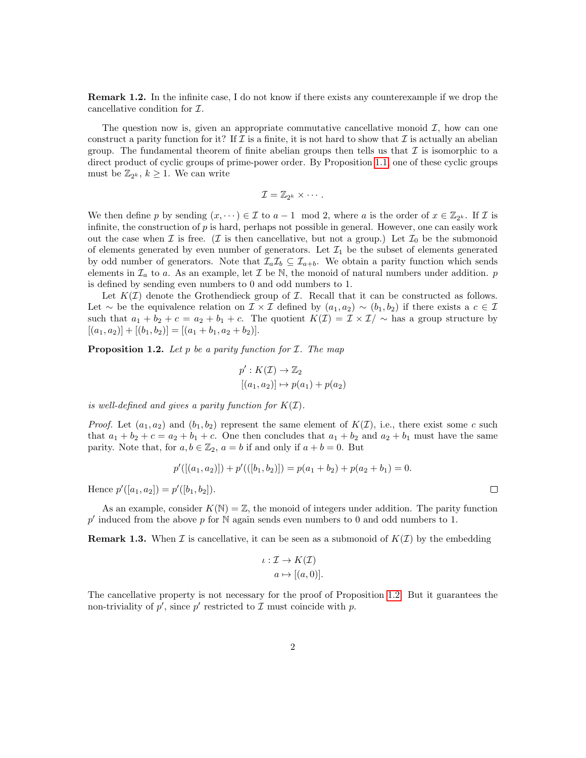Remark 1.2. In the infinite case, I do not know if there exists any counterexample if we drop the cancellative condition for I.

The question now is, given an appropriate commutative cancellative monoid  $\mathcal{I}$ , how can one construct a parity function for it? If  $\mathcal I$  is a finite, it is not hard to show that  $\mathcal I$  is actually an abelian group. The fundamental theorem of finite abelian groups then tells us that  $\mathcal I$  is isomorphic to a direct product of cyclic groups of prime-power order. By Proposition [1.1,](#page-2-1) one of these cyclic groups must be  $\mathbb{Z}_{2^k}$ ,  $k \geq 1$ . We can write

$$
\mathcal{I}=\mathbb{Z}_{2^k}\times\cdots.
$$

We then define p by sending  $(x, \dots) \in \mathcal{I}$  to  $a-1 \mod 2$ , where a is the order of  $x \in \mathbb{Z}_{2^k}$ . If  $\mathcal{I}$  is infinite, the construction of  $p$  is hard, perhaps not possible in general. However, one can easily work out the case when  $\mathcal I$  is free. ( $\mathcal I$  is then cancellative, but not a group.) Let  $\mathcal I_0$  be the submonoid of elements generated by even number of generators. Let  $\mathcal{I}_1$  be the subset of elements generated by odd number of generators. Note that  $\mathcal{I}_a\mathcal{I}_b \subseteq \mathcal{I}_{a+b}$ . We obtain a parity function which sends elements in  $\mathcal{I}_a$  to a. As an example, let  $\mathcal I$  be N, the monoid of natural numbers under addition. p is defined by sending even numbers to 0 and odd numbers to 1.

Let  $K(\mathcal{I})$  denote the Grothendieck group of  $\mathcal{I}$ . Recall that it can be constructed as follows. Let  $\sim$  be the equivalence relation on  $\mathcal{I} \times \mathcal{I}$  defined by  $(a_1, a_2) \sim (b_1, b_2)$  if there exists a  $c \in \mathcal{I}$ such that  $a_1 + b_2 + c = a_2 + b_1 + c$ . The quotient  $K(\mathcal{I}) = \mathcal{I} \times \mathcal{I} / \sim$  has a group structure by  $[(a_1, a_2)] + [(b_1, b_2)] = [(a_1 + b_1, a_2 + b_2)].$ 

<span id="page-3-0"></span>**Proposition 1.2.** Let  $p$  be a parity function for  $I$ . The map

$$
p': K(\mathcal{I}) \to \mathbb{Z}_2
$$

$$
[(a_1, a_2)] \mapsto p(a_1) + p(a_2)
$$

is well-defined and gives a parity function for  $K(\mathcal{I})$ .

*Proof.* Let  $(a_1, a_2)$  and  $(b_1, b_2)$  represent the same element of  $K(\mathcal{I})$ , i.e., there exist some c such that  $a_1 + b_2 + c = a_2 + b_1 + c$ . One then concludes that  $a_1 + b_2$  and  $a_2 + b_1$  must have the same parity. Note that, for  $a, b \in \mathbb{Z}_2$ ,  $a = b$  if and only if  $a + b = 0$ . But

$$
p'([(a_1, a_2)]) + p'([(b_1, b_2)]) = p(a_1 + b_2) + p(a_2 + b_1) = 0.
$$

Hence  $p'([a_1, a_2]) = p'([b_1, b_2]).$ 

As an example, consider  $K(\mathbb{N}) = \mathbb{Z}$ , the monoid of integers under addition. The parity function  $p'$  induced from the above p for  $N$  again sends even numbers to 0 and odd numbers to 1.

**Remark 1.3.** When  $\mathcal I$  is cancellative, it can be seen as a submonoid of  $K(\mathcal I)$  by the embedding

$$
\iota: \mathcal{I} \to K(\mathcal{I})
$$

$$
a \mapsto [(a, 0)].
$$

The cancellative property is not necessary for the proof of Proposition [1.2.](#page-3-0) But it guarantees the non-triviality of  $p'$ , since  $p'$  restricted to  $\mathcal I$  must coincide with  $p$ .

 $\Box$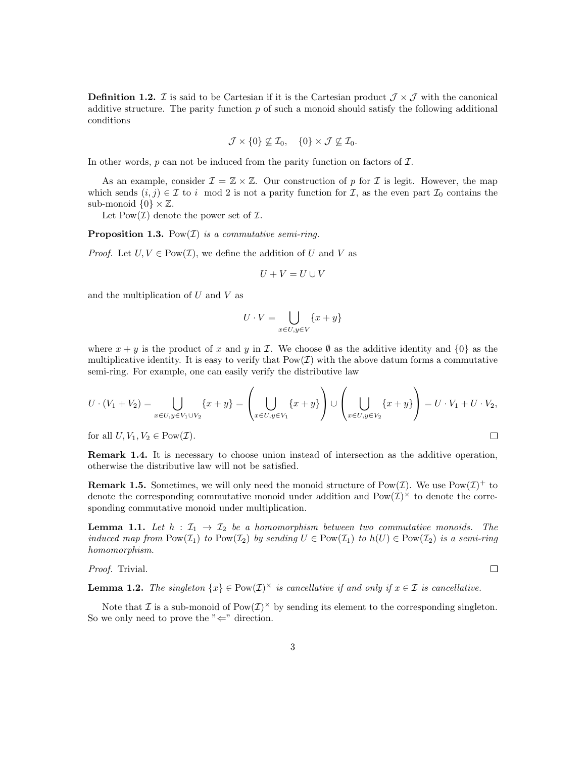<span id="page-4-2"></span>**Definition 1.2.** *I* is said to be Cartesian if it is the Cartesian product  $\mathcal{J} \times \mathcal{J}$  with the canonical additive structure. The parity function  $p$  of such a monoid should satisfy the following additional conditions

$$
\mathcal{J} \times \{0\} \not\subseteq \mathcal{I}_0, \quad \{0\} \times \mathcal{J} \not\subseteq \mathcal{I}_0.
$$

In other words,  $p$  can not be induced from the parity function on factors of  $\mathcal{I}$ .

As an example, consider  $\mathcal{I} = \mathbb{Z} \times \mathbb{Z}$ . Our construction of p for  $\mathcal{I}$  is legit. However, the map which sends  $(i, j) \in \mathcal{I}$  to i mod 2 is not a parity function for  $\mathcal{I}$ , as the even part  $\mathcal{I}_0$  contains the sub-monoid  $\{0\} \times \mathbb{Z}$ .

Let  $Pow(\mathcal{I})$  denote the power set of  $\mathcal{I}$ .

**Proposition 1.3.** Pow $(\mathcal{I})$  is a commutative semi-ring.

*Proof.* Let  $U, V \in Pow(I)$ , we define the addition of U and V as

$$
U+V=U\cup V
$$

and the multiplication of  $U$  and  $V$  as

$$
U \cdot V = \bigcup_{x \in U, y \in V} \{x + y\}
$$

where  $x + y$  is the product of x and y in I. We choose  $\emptyset$  as the additive identity and  $\{0\}$  as the multiplicative identity. It is easy to verify that  $Pow(\mathcal{I})$  with the above datum forms a commutative semi-ring. For example, one can easily verify the distributive law

$$
U \cdot (V_1 + V_2) = \bigcup_{x \in U, y \in V_1 \cup V_2} \{x + y\} = \left(\bigcup_{x \in U, y \in V_1} \{x + y\}\right) \cup \left(\bigcup_{x \in U, y \in V_2} \{x + y\}\right) = U \cdot V_1 + U \cdot V_2,
$$
  
for all  $U, V_1, V_2 \in \text{Pow}(\mathcal{I})$ .

for all  $U, V_1, V_2 \in \text{Pow}(\mathcal{I}).$ 

Remark 1.4. It is necessary to choose union instead of intersection as the additive operation, otherwise the distributive law will not be satisfied.

**Remark 1.5.** Sometimes, we will only need the monoid structure of Pow $(\mathcal{I})$ . We use Pow $(\mathcal{I})^+$  to denote the corresponding commutative monoid under addition and  $Pow(\mathcal{I})^{\times}$  to denote the corresponding commutative monoid under multiplication.

<span id="page-4-1"></span>**Lemma 1.1.** Let  $h : \mathcal{I}_1 \to \mathcal{I}_2$  be a homomorphism between two commutative monoids. The induced map from  $\text{Pow}(\mathcal{I}_1)$  to  $\text{Pow}(\mathcal{I}_2)$  by sending  $U \in \text{Pow}(\mathcal{I}_1)$  to  $h(U) \in \text{Pow}(\mathcal{I}_2)$  is a semi-ring homomorphism.

 $\Box$ 

Proof. Trivial.

<span id="page-4-0"></span>**Lemma 1.2.** The singleton  $\{x\} \in \text{Pow}(\mathcal{I})^\times$  is cancellative if and only if  $x \in \mathcal{I}$  is cancellative.

Note that  $\mathcal I$  is a sub-monoid of  $\text{Pow}(\mathcal I)^\times$  by sending its element to the corresponding singleton. So we only need to prove the " $\Leftarrow$ " direction.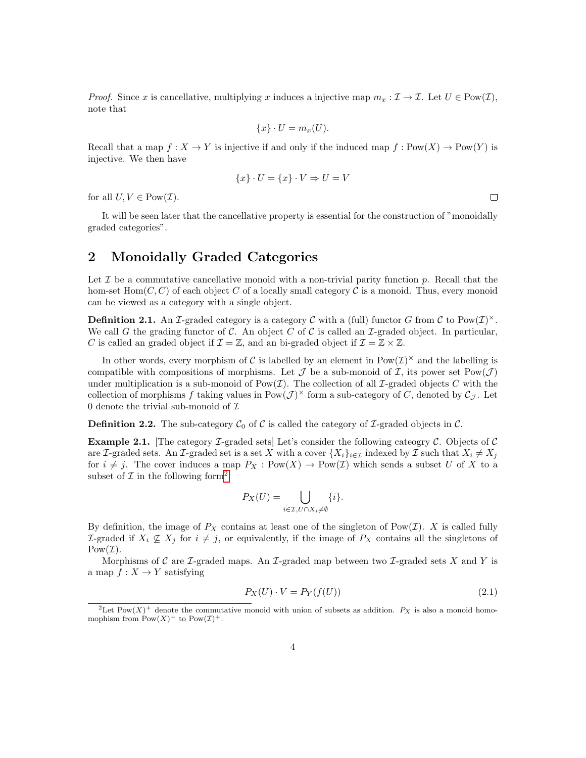*Proof.* Since x is cancellative, multiplying x induces a injective map  $m_x : \mathcal{I} \to \mathcal{I}$ . Let  $U \in \text{Pow}(\mathcal{I})$ , note that

$$
\{x\} \cdot U = m_x(U).
$$

Recall that a map  $f : X \to Y$  is injective if and only if the induced map  $f : Pow(X) \to Pow(Y)$  is injective. We then have

$$
\{x\} \cdot U = \{x\} \cdot V \Rightarrow U = V
$$

for all  $U, V \in \text{Pow}(\mathcal{I}).$ 

It will be seen later that the cancellative property is essential for the construction of "monoidally graded categories".

#### 2 Monoidally Graded Categories

Let  $\mathcal I$  be a commutative cancellative monoid with a non-trivial parity function  $p$ . Recall that the hom-set  $Hom(C, C)$  of each object C of a locally small category C is a monoid. Thus, every monoid can be viewed as a category with a single object.

**Definition 2.1.** An *I*-graded category is a category C with a (full) functor G from C to  $\text{Pow}(\mathcal{I})^{\times}$ . We call G the grading functor of C. An object C of C is called an  $\mathcal{I}\text{-graded object}$ . In particular, C is called an graded object if  $\mathcal{I} = \mathbb{Z}$ , and an bi-graded object if  $\mathcal{I} = \mathbb{Z} \times \mathbb{Z}$ .

In other words, every morphism of C is labelled by an element in  $Pow(\mathcal{I})^{\times}$  and the labelling is compatible with compositions of morphisms. Let  $\mathcal J$  be a sub-monoid of  $\mathcal I$ , its power set Pow $(\mathcal J)$ under multiplication is a sub-monoid of  $Pow(\mathcal{I})$ . The collection of all  $\mathcal{I}\text{-graded objects } C$  with the collection of morphisms f taking values in  $\text{Pow}(\mathcal{J})^{\times}$  form a sub-category of C, denoted by  $\mathcal{C}_{\mathcal{J}}$ . Let 0 denote the trivial sub-monoid of  $\mathcal I$ 

**Definition 2.2.** The sub-category  $\mathcal{C}_0$  of  $\mathcal{C}$  is called the category of  $\mathcal{I}$ -graded objects in  $\mathcal{C}$ .

<span id="page-5-2"></span>**Example 2.1.** [The category *I*-graded sets] Let's consider the following cateogry *C*. Objects of *C* are I-graded sets. An I-graded set is a set X with a cover  $\{X_i\}_{i\in\mathcal{I}}$  indexed by I such that  $X_i \neq X_j$ for  $i \neq j$ . The cover induces a map  $P_X : Pow(X) \to Pow(\mathcal{I})$  which sends a subset U of X to a subset of  $\mathcal I$  in the following form<sup>[2](#page-5-0)</sup>

$$
P_X(U) = \bigcup_{i \in \mathcal{I}, U \cap X_i \neq \emptyset} \{i\}.
$$

By definition, the image of  $P_X$  contains at least one of the singleton of Pow(*I*). X is called fully *I*-graded if  $X_i$   $\not\subseteq$   $X_j$  for  $i ≠ j$ , or equivalently, if the image of  $P_X$  contains all the singletons of  $Pow(\mathcal{I}).$ 

Morphisms of C are L-graded maps. An L-graded map between two L-graded sets X and Y is a map  $f: X \to Y$  satisfying

<span id="page-5-1"></span>
$$
P_X(U) \cdot V = P_Y(f(U))\tag{2.1}
$$

 $\Box$ 

<span id="page-5-0"></span><sup>&</sup>lt;sup>2</sup>Let Pow(X)<sup>+</sup> denote the commutative monoid with union of subsets as addition.  $P_X$  is also a monoid homomophism from  $\text{Pow}(X)^+$  to  $\text{Pow}(\mathcal{I})^+$ .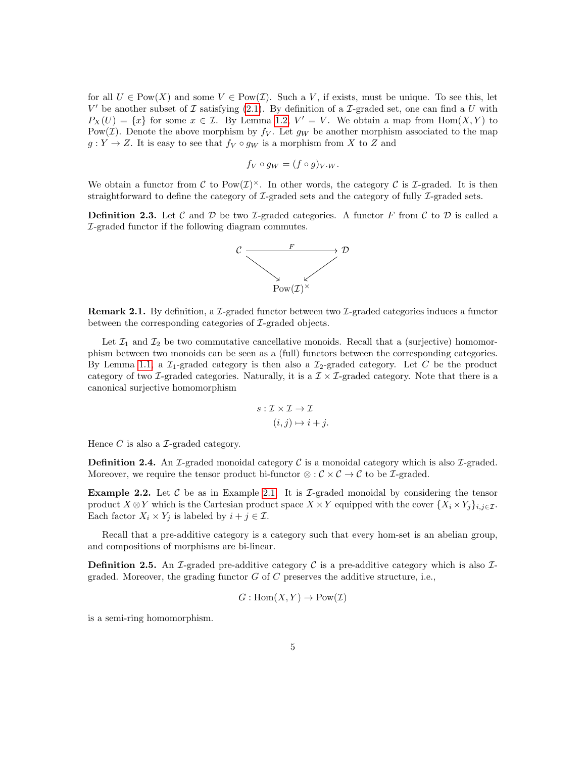for all  $U \in \text{Pow}(X)$  and some  $V \in \text{Pow}(\mathcal{I})$ . Such a V, if exists, must be unique. To see this, let  $V'$  be another subset of  $\mathcal I$  satisfying [\(2.1\)](#page-5-1). By definition of a  $\mathcal I$ -graded set, one can find a  $U$  with  $P_X(U) = \{x\}$  for some  $x \in \mathcal{I}$ . By Lemma [1.2,](#page-4-0)  $V' = V$ . We obtain a map from Hom $(X, Y)$  to Pow( $\mathcal{I}$ ). Denote the above morphism by  $f_V$ . Let  $g_W$  be another morphism associated to the map  $g: Y \to Z$ . It is easy to see that  $f_V \circ g_W$  is a morphism from X to Z and

$$
f_V \circ g_W = (f \circ g)_V w.
$$

We obtain a functor from C to  $Pow(\mathcal{I})^{\times}$ . In other words, the category C is *I*-graded. It is then straightforward to define the category of  $\mathcal{I}\text{-graded sets}$  and the category of fully  $\mathcal{I}\text{-graded sets}$ .

**Definition 2.3.** Let  $\mathcal C$  and  $\mathcal D$  be two *I*-graded categories. A functor  $F$  from  $\mathcal C$  to  $\mathcal D$  is called a I-graded functor if the following diagram commutes.



**Remark 2.1.** By definition, a L-graded functor between two L-graded categories induces a functor between the corresponding categories of *I*-graded objects.

Let  $\mathcal{I}_1$  and  $\mathcal{I}_2$  be two commutative cancellative monoids. Recall that a (surjective) homomorphism between two monoids can be seen as a (full) functors between the corresponding categories. By Lemma [1.1,](#page-4-1) a  $\mathcal{I}_1$ -graded category is then also a  $\mathcal{I}_2$ -graded category. Let C be the product category of two  $\mathcal{I}$ -graded categories. Naturally, it is a  $\mathcal{I} \times \mathcal{I}$ -graded category. Note that there is a canonical surjective homomorphism

$$
s: \mathcal{I} \times \mathcal{I} \to \mathcal{I}
$$

$$
(i, j) \mapsto i + j.
$$

Hence  $C$  is also a  $\mathcal{I}$ -graded category.

**Definition 2.4.** An *I*-graded monoidal category  $\mathcal{C}$  is a monoidal category which is also *I*-graded. Moreover, we require the tensor product bi-functor  $\otimes : \mathcal{C} \times \mathcal{C} \to \mathcal{C}$  to be *I*-graded.

**Example 2.2.** Let C be as in Example [2.1.](#page-5-2) It is  $\mathcal{I}$ -graded monoidal by considering the tensor product  $X \otimes Y$  which is the Cartesian product space  $X \times Y$  equipped with the cover  $\{X_i \times Y_j\}_{i,j \in \mathcal{I}}$ . Each factor  $X_i \times Y_j$  is labeled by  $i + j \in \mathcal{I}$ .

Recall that a pre-additive category is a category such that every hom-set is an abelian group, and compositions of morphisms are bi-linear.

**Definition 2.5.** An I-graded pre-additive category C is a pre-additive category which is also Igraded. Moreover, the grading functor  $G$  of  $C$  preserves the additive structure, i.e.,

$$
G: \text{Hom}(X, Y) \to \text{Pow}(\mathcal{I})
$$

is a semi-ring homomorphism.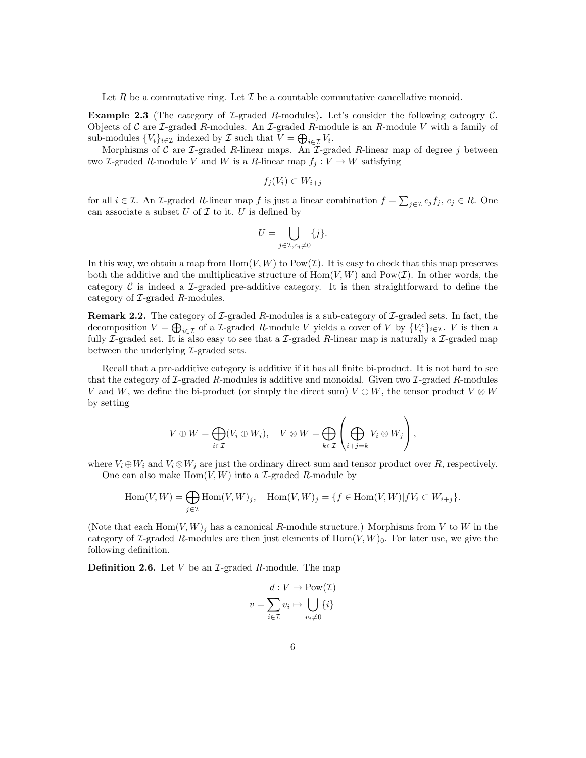Let R be a commutative ring. Let  $\mathcal I$  be a countable commutative cancellative monoid.

**Example 2.3** (The category of *L*-graded *R*-modules). Let's consider the following category  $C$ . Objects of C are *I*-graded R-modules. An *I*-graded R-module is an R-module V with a family of sub-modules  $\{V_i\}_{i\in\mathcal{I}}$  indexed by  $\mathcal{I}$  such that  $V = \bigoplus_{i\in\mathcal{I}} V_i$ .

Morphisms of  $C$  are  $\mathcal I$ -graded  $R$ -linear maps. An  $\mathcal I$ -graded  $R$ -linear map of degree j between two *I*-graded *R*-module *V* and *W* is a *R*-linear map  $f_j : V \to W$  satisfying

$$
f_j(V_i) \subset W_{i+j}
$$

for all  $i \in \mathcal{I}$ . An  $\mathcal{I}$ -graded R-linear map f is just a linear combination  $f = \sum_{j \in \mathcal{I}} c_j f_j$ ,  $c_j \in R$ . One can associate a subset  $U$  of  $\mathcal I$  to it.  $U$  is defined by

$$
U = \bigcup_{j \in \mathcal{I}, c_j \neq 0} \{j\}.
$$

In this way, we obtain a map from  $\text{Hom}(V, W)$  to  $\text{Pow}(\mathcal{I})$ . It is easy to check that this map preserves both the additive and the multiplicative structure of  $\text{Hom}(V, W)$  and  $\text{Pow}(\mathcal{I})$ . In other words, the category  $\mathcal C$  is indeed a *I*-graded pre-additive category. It is then straightforward to define the category of  $\mathcal{I}\text{-graded }R\text{-modules.}$ 

**Remark 2.2.** The category of  $\mathcal{I}\text{-graded }R\text{-modules}$  is a sub-category of  $\mathcal{I}\text{-graded sets}$ . In fact, the decomposition  $V = \bigoplus_{i \in \mathcal{I}}$  of a *I*-graded *R*-module *V* yields a cover of *V* by  $\{V_i^c\}_{i \in \mathcal{I}}$ . *V* is then a fully  $\mathcal I$ -graded set. It is also easy to see that a  $\mathcal I$ -graded R-linear map is naturally a  $\mathcal I$ -graded map between the underlying  $\mathcal{I}\text{-graded sets.}$ 

Recall that a pre-additive category is additive if it has all finite bi-product. It is not hard to see that the category of  $\mathcal{I}\text{-graded }R\text{-modules}$  is additive and monoidal. Given two  $\mathcal{I}\text{-graded }R\text{-modules}$ V and W, we define the bi-product (or simply the direct sum)  $V \oplus W$ , the tensor product  $V \otimes W$ by setting

$$
V \oplus W = \bigoplus_{i \in \mathcal{I}} (V_i \oplus W_i), \quad V \otimes W = \bigoplus_{k \in \mathcal{I}} \left( \bigoplus_{i+j=k} V_i \otimes W_j \right),
$$

where  $V_i \oplus W_i$  and  $V_i \otimes W_j$  are just the ordinary direct sum and tensor product over R, respectively. One can also make  $Hom(V, W)$  into a *L*-graded *R*-module by

$$
\operatorname{Hom}(V,W) = \bigoplus_{j \in \mathcal{I}} \operatorname{Hom}(V,W)_j, \quad \operatorname{Hom}(V,W)_j = \{ f \in \operatorname{Hom}(V,W) | fV_i \subset W_{i+j} \}.
$$

(Note that each  $\text{Hom}(V, W)_j$  has a canonical R-module structure.) Morphisms from V to W in the category of *I*-graded *R*-modules are then just elements of  $Hom(V, W)_0$ . For later use, we give the following definition.

**Definition 2.6.** Let  $V$  be an  $\mathcal{I}$ -graded  $R$ -module. The map

$$
v = \sum_{i \in \mathcal{I}} v_i \mapsto \bigcup_{v_i \neq 0} \{i\}
$$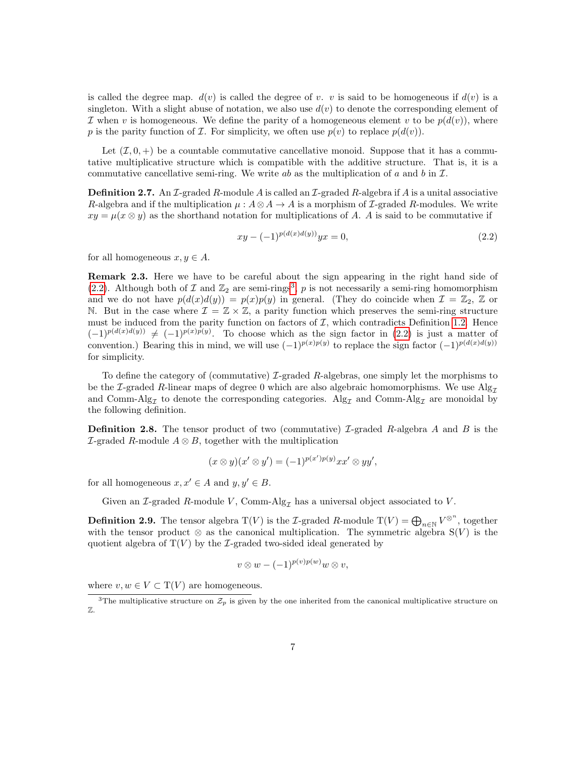is called the degree map.  $d(v)$  is called the degree of v. v is said to be homogeneous if  $d(v)$  is a singleton. With a slight abuse of notation, we also use  $d(v)$  to denote the corresponding element of I when v is homogeneous. We define the parity of a homogeneous element v to be  $p(d(v))$ , where p is the parity function of Z. For simplicity, we often use  $p(v)$  to replace  $p(d(v))$ .

Let  $(\mathcal{I}, 0, +)$  be a countable commutative cancellative monoid. Suppose that it has a commutative multiplicative structure which is compatible with the additive structure. That is, it is a commutative cancellative semi-ring. We write ab as the multiplication of a and b in  $\mathcal I$ .

**Definition 2.7.** An  $\mathcal{I}$ -graded R-module A is called an  $\mathcal{I}$ -graded R-algebra if A is a unital associative R-algebra and if the multiplication  $\mu : A \otimes A \to A$  is a morphism of *L*-graded R-modules. We write  $xy = \mu(x \otimes y)$  as the shorthand notation for multiplications of A. A is said to be commutative if

<span id="page-8-0"></span>
$$
xy - (-1)^{p(d(x)d(y))}yx = 0,
$$
\n(2.2)

for all homogeneous  $x, y \in A$ .

Remark 2.3. Here we have to be careful about the sign appearing in the right hand side of [\(2.2\)](#page-8-0). Although both of  $\mathcal I$  and  $\mathbb Z_2$  are semi-rings<sup>[3](#page-8-1)</sup>,  $p$  is not necessarily a semi-ring homomorphism and we do not have  $p(d(x)d(y)) = p(x)p(y)$  in general. (They do coincide when  $\mathcal{I} = \mathbb{Z}_2$ ,  $\mathbb Z$  or N. But in the case where  $\mathcal{I} = \mathbb{Z} \times \mathbb{Z}$ , a parity function which preserves the semi-ring structure must be induced from the parity function on factors of  $I$ , which contradicts Definition [1.2.](#page-4-2) Hence  $(-1)^{p(d(x)d(y))} \neq (-1)^{p(x)p(y)}$ . To choose which as the sign factor in [\(2.2\)](#page-8-0) is just a matter of convention.) Bearing this in mind, we will use  $(-1)^{p(x)p(y)}$  to replace the sign factor  $(-1)^{p(d(x)d(y))}$ for simplicity.

To define the category of (commutative)  $\mathcal{I}\text{-graded }R\text{-algebras}$ , one simply let the morphisms to be the I-graded R-linear maps of degree 0 which are also algebraic homomorphisms. We use  $\text{Alg}_{\mathcal{T}}$ and Comm-Alg<sub>I</sub> to denote the corresponding categories. Alg<sub>I</sub> and Comm-Alg<sub>I</sub> are monoidal by the following definition.

**Definition 2.8.** The tensor product of two (commutative) L-graded R-algebra A and B is the  $I$ -graded R-module  $A \otimes B$ , together with the multiplication

$$
(x \otimes y)(x' \otimes y') = (-1)^{p(x')p(y)}xx' \otimes yy',
$$

for all homogeneous  $x, x' \in A$  and  $y, y' \in B$ .

Given an I-graded R-module V, Comm-Alg<sub> $\tau$ </sub> has a universal object associated to V.

**Definition 2.9.** The tensor algebra  $T(V)$  is the *L*-graded *R*-module  $T(V) = \bigoplus_{n \in \mathbb{N}} V^{\otimes^n}$ , together with the tensor product  $\otimes$  as the canonical multiplication. The symmetric algebra  $S(V)$  is the quotient algebra of  $T(V)$  by the *I*-graded two-sided ideal generated by

$$
v\otimes w - (-1)^{p(v)p(w)}w\otimes v,
$$

where  $v, w \in V \subset T(V)$  are homogeneous.

<span id="page-8-1"></span><sup>&</sup>lt;sup>3</sup>The multiplicative structure on  $\mathcal{Z}_p$  is given by the one inherited from the canonical multiplicative structure on Z.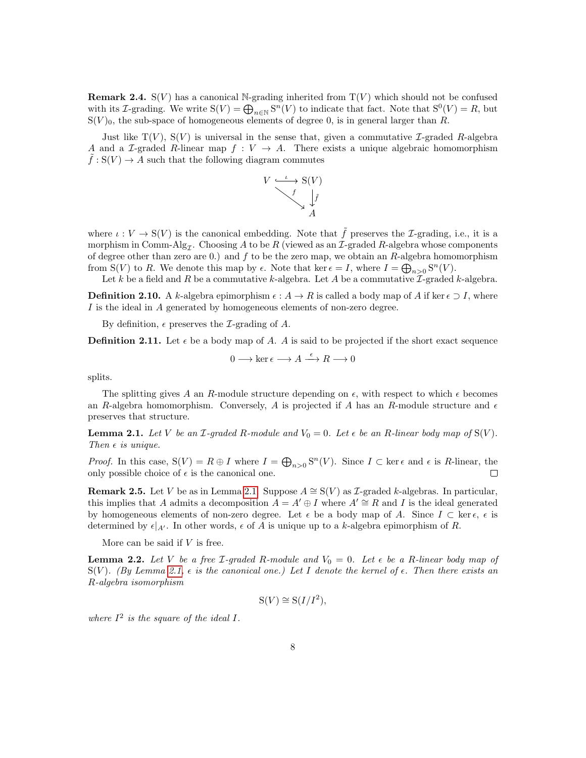**Remark 2.4.** S(V) has a canonical N-grading inherited from  $T(V)$  which should not be confused with its *I*-grading. We write  $S(V) = \bigoplus_{n \in \mathbb{N}} S^n(V)$  to indicate that fact. Note that  $S^0(V) = R$ , but  $S(V)_0$ , the sub-space of homogeneous elements of degree 0, is in general larger than R.

Just like  $T(V)$ ,  $S(V)$  is universal in the sense that, given a commutative *I*-graded *R*-algebra A and a L-graded R-linear map  $f: V \to A$ . There exists a unique algebraic homomorphism  $f: S(V) \to A$  such that the following diagram commutes



where  $\iota: V \to S(V)$  is the canonical embedding. Note that  $\tilde{f}$  preserves the *I*-grading, i.e., it is a morphism in Comm-Alg<sub>Z</sub>. Choosing A to be R (viewed as an Z-graded R-algebra whose components of degree other than zero are 0.) and  $f$  to be the zero map, we obtain an  $R$ -algebra homomorphism from S(V) to R. We denote this map by  $\epsilon$ . Note that ker  $\epsilon = I$ , where  $I = \bigoplus_{n>0} S^n(V)$ .

Let k be a field and R be a commutative k-algebra. Let A be a commutative  $\mathcal{I}\text{-graded }k\text{-algebra.}$ 

**Definition 2.10.** A k-algebra epimorphism  $\epsilon : A \to R$  is called a body map of A if ker  $\epsilon \supset I$ , where I is the ideal in A generated by homogeneous elements of non-zero degree.

By definition,  $\epsilon$  preserves the *L*-grading of *A*.

**Definition 2.11.** Let  $\epsilon$  be a body map of A. A is said to be projected if the short exact sequence

$$
0 \longrightarrow \ker \epsilon \longrightarrow A \stackrel{\epsilon}{\longrightarrow} R \longrightarrow 0
$$

splits.

The splitting gives A an R-module structure depending on  $\epsilon$ , with respect to which  $\epsilon$  becomes an R-algebra homomorphism. Conversely, A is projected if A has an R-module structure and  $\epsilon$ preserves that structure.

<span id="page-9-0"></span>**Lemma 2.1.** Let V be an *I*-graded R-module and  $V_0 = 0$ . Let  $\epsilon$  be an R-linear body map of  $S(V)$ . Then  $\epsilon$  is unique.

*Proof.* In this case,  $S(V) = R \oplus I$  where  $I = \bigoplus_{n>0} S^n(V)$ . Since  $I \subset \text{ker } \epsilon$  and  $\epsilon$  is R-linear, the only possible choice of  $\epsilon$  is the canonical one.  $\Box$ 

<span id="page-9-2"></span>Remark 2.5. Let V be as in Lemma [2.1.](#page-9-0) Suppose  $A \cong S(V)$  as  $\mathcal{I}$ -graded k-algebras. In particular, this implies that A admits a decomposition  $A = A' \oplus I$  where  $A' \cong R$  and I is the ideal generated by homogeneous elements of non-zero degree. Let  $\epsilon$  be a body map of A. Since  $I \subset \text{ker } \epsilon$ ,  $\epsilon$  is determined by  $\epsilon|_{A'}$ . In other words,  $\epsilon$  of A is unique up to a k-algebra epimorphism of R.

More can be said if  $V$  is free.

<span id="page-9-1"></span>**Lemma 2.2.** Let V be a free *I*-graded R-module and  $V_0 = 0$ . Let  $\epsilon$  be a R-linear body map of  $S(V)$ . (By Lemma [2.1,](#page-9-0)  $\epsilon$  is the canonical one.) Let I denote the kernel of  $\epsilon$ . Then there exists an R-algebra isomorphism

$$
S(V) \cong S(I/I^2),
$$

where  $I^2$  is the square of the ideal I.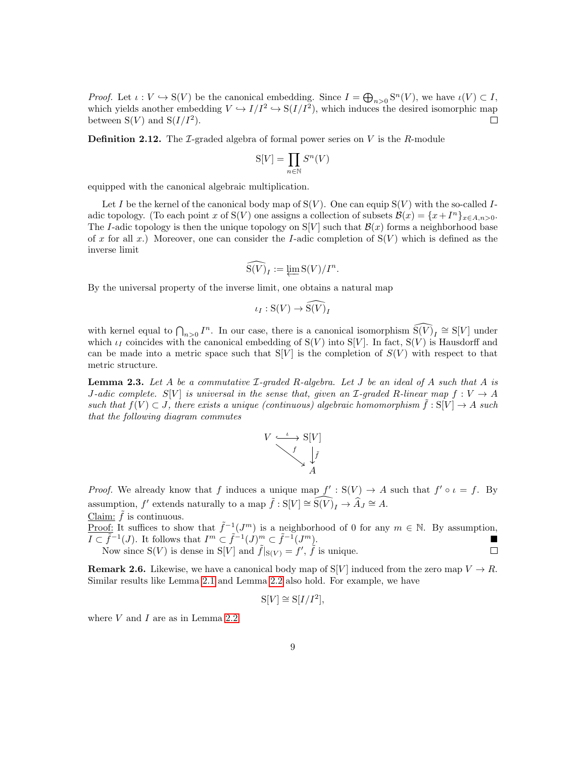*Proof.* Let  $\iota: V \hookrightarrow S(V)$  be the canonical embedding. Since  $I = \bigoplus_{n>0} S^n(V)$ , we have  $\iota(V) \subset I$ , which yields another embedding  $V \hookrightarrow I/I^2 \hookrightarrow S(I/I^2)$ , which induces the desired isomorphic map between  $S(V)$  and  $S(I/I^2)$ . П

**Definition 2.12.** The *I*-graded algebra of formal power series on  $V$  is the  $R$ -module

$$
\mathcal{S}[V] = \prod_{n \in \mathbb{N}} S^n(V)
$$

equipped with the canonical algebraic multiplication.

Let I be the kernel of the canonical body map of  $S(V)$ . One can equip  $S(V)$  with the so-called Iadic topology. (To each point x of S(V) one assigns a collection of subsets  $\mathcal{B}(x) = \{x + I^n\}_{x \in A, n>0}$ . The I-adic topology is then the unique topology on  $S[V]$  such that  $\mathcal{B}(x)$  forms a neighborhood base of x for all x.) Moreover, one can consider the I-adic completion of  $S(V)$  which is defined as the inverse limit

$$
\widehat{\mathbf{S}(V)}_I := \varprojlim \mathbf{S}(V)/I^n.
$$

By the universal property of the inverse limit, one obtains a natural map

$$
\iota_I: \mathcal{S}(V) \to \widehat{\mathcal{S}(V)}_I
$$

with kernel equal to  $\bigcap_{n>0} I^n$ . In our case, there is a canonical isomorphism  $\widehat{S(V)}_I \cong S[V]$  under which  $\iota_I$  coincides with the canonical embedding of  $S(V)$  into  $S[V]$ . In fact,  $S(V)$  is Hausdorff and can be made into a metric space such that  $S[V]$  is the completion of  $S(V)$  with respect to that metric structure.

<span id="page-10-0"></span>**Lemma 2.3.** Let A be a commutative  $\mathcal{I}\text{-graded }R\text{-algebra.}$  Let J be an ideal of A such that A is J-adic complete. S[V] is universal in the sense that, given an  $\mathcal{I}\text{-}\mathit{graded}$  R-linear map  $f:V\to A$ such that  $f(V) \subset J$ , there exists a unique (continuous) algebraic homomorphism  $\tilde{f}: S[V] \to A$  such that the following diagram commutes



*Proof.* We already know that f induces a unique map  $f': S(V) \to A$  such that  $f' \circ \iota = f$ . By assumption, f' extends naturally to a map  $\tilde{f}: S[V] \cong \widehat{S(V)}_I \to \hat{A}_J \cong A$ . Claim:  $\tilde{f}$  is continuous.

Proof: It suffices to show that  $\tilde{f}^{-1}(J^m)$  is a neighborhood of 0 for any  $m \in \mathbb{N}$ . By assumption,  $\overline{I \subset \tilde{f}}^{-1}(J)$ . It follows that  $I^m \subset \tilde{f}^{-1}(J)^m \subset \tilde{f}^{-1}(J^m)$ . Now since  $S(V)$  is dense in  $S[V]$  and  $\tilde{f}|_{S(V)} = f'$ ,  $\tilde{f}$  is unique.  $\Box$ 

<span id="page-10-1"></span>**Remark 2.6.** Likewise, we have a canonical body map of S[V] induced from the zero map  $V \to R$ . Similar results like Lemma [2.1](#page-9-0) and Lemma [2.2](#page-9-1) also hold. For example, we have

$$
S[V] \cong S[I/I^2],
$$

where  $V$  and  $I$  are as in Lemma [2.2.](#page-9-1)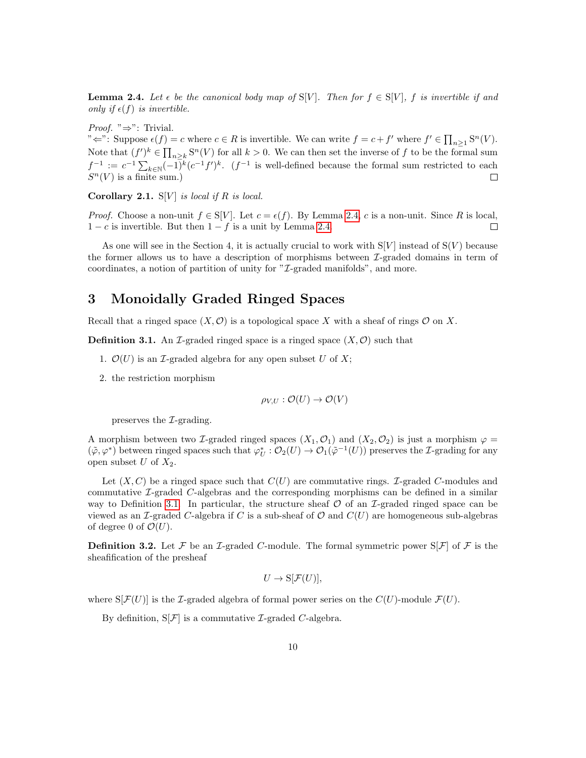<span id="page-11-0"></span>**Lemma 2.4.** Let  $\epsilon$  be the canonical body map of  $S[V]$ . Then for  $f \in S[V]$ , f is invertible if and only if  $\epsilon(f)$  is invertible.

*Proof.* " $\Rightarrow$ ": Trivial.

" $\Leftarrow$ ": Suppose  $\epsilon(f) = c$  where  $c \in R$  is invertible. We can write  $f = c + f'$  where  $f' \in \prod_{n \geq 1} S^n(V)$ . Note that  $(f')^k \in \prod_{n \geq k} S^n(V)$  for all  $k > 0$ . We can then set the inverse of f to be the formal sum  $f^{-1} := c^{-1} \sum_{k \in \mathbb{N}} (-1)^k (c^{-1} f')^k$ .  $(f^{-1}$  is well-defined because the formal sum restricted to each  $S<sup>n</sup>(V)$  is a finite sum.)  $\Box$ 

<span id="page-11-2"></span>Corollary 2.1.  $S[V]$  is local if R is local.

*Proof.* Choose a non-unit  $f \in S[V]$ . Let  $c = \epsilon(f)$ . By Lemma [2.4,](#page-11-0) c is a non-unit. Since R is local,  $1 - c$  is invertible. But then  $1 - f$  is a unit by Lemma [2.4.](#page-11-0)  $\Box$ 

As one will see in the Section 4, it is actually crucial to work with  $S[V]$  instead of  $S(V)$  because the former allows us to have a description of morphisms between  $\mathcal{I}\text{-graded domains}$  in term of coordinates, a notion of partition of unity for "*L*-graded manifolds", and more.

#### 3 Monoidally Graded Ringed Spaces

Recall that a ringed space  $(X, \mathcal{O})$  is a topological space X with a sheaf of rings  $\mathcal O$  on X.

<span id="page-11-1"></span>**Definition 3.1.** An I-graded ringed space is a ringed space  $(X, \mathcal{O})$  such that

- 1.  $\mathcal{O}(U)$  is an *I*-graded algebra for any open subset U of X;
- 2. the restriction morphism

$$
\rho_{V,U}: \mathcal{O}(U) \to \mathcal{O}(V)
$$

preserves the  $\mathcal{I}\text{-grading}.$ 

A morphism between two *I*-graded ringed spaces  $(X_1, O_1)$  and  $(X_2, O_2)$  is just a morphism  $\varphi =$  $(\tilde{\varphi}, \varphi^*)$  between ringed spaces such that  $\varphi_U^*: \mathcal{O}_2(U) \to \mathcal{O}_1(\tilde{\varphi}^{-1}(U))$  preserves the *L*-grading for any open subset U of  $X_2$ .

Let  $(X, C)$  be a ringed space such that  $C(U)$  are commutative rings. *L*-graded C-modules and commutative I-graded C-algebras and the corresponding morphisms can be defined in a similar way to Definition [3.1.](#page-11-1) In particular, the structure sheaf  $\mathcal O$  of an *I*-graded ringed space can be viewed as an  $\mathcal{I}$ -graded C-algebra if C is a sub-sheaf of  $\mathcal{O}$  and  $C(U)$  are homogeneous sub-algebras of degree 0 of  $\mathcal{O}(U)$ .

**Definition 3.2.** Let F be an I-graded C-module. The formal symmetric power  $S[F]$  of F is the sheafification of the presheaf

$$
U \to \mathcal{S}[\mathcal{F}(U)],
$$

where  $S[\mathcal{F}(U)]$  is the *I*-graded algebra of formal power series on the  $C(U)$ -module  $\mathcal{F}(U)$ .

By definition,  $S[\mathcal{F}]$  is a commutative *L*-graded *C*-algebra.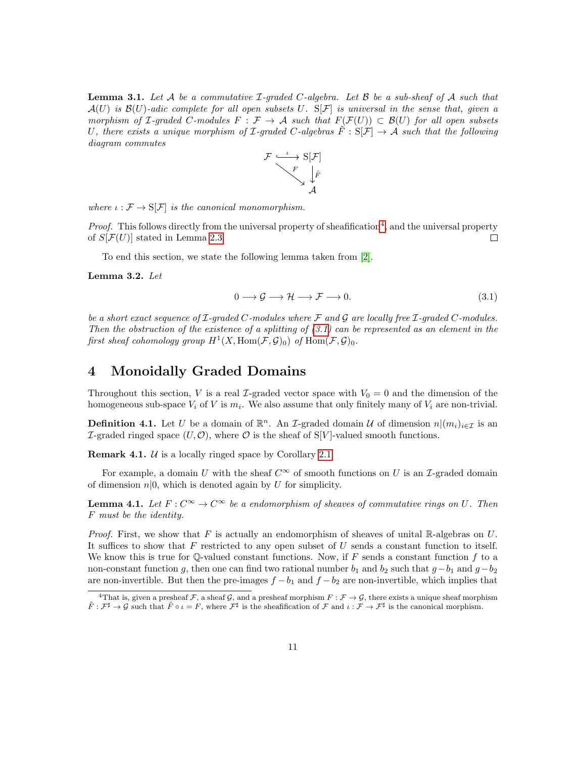<span id="page-12-3"></span>**Lemma 3.1.** Let A be a commutative  $\mathcal{I}\text{-graded }C\text{-algebra}$ . Let B be a sub-sheaf of A such that  $\mathcal{A}(U)$  is  $\mathcal{B}(U)$ -adic complete for all open subsets U. S[F] is universal in the sense that, given a morphism of  $\mathcal I$ -graded C-modules  $F : \mathcal F \to \mathcal A$  such that  $F(\mathcal F(U)) \subset \mathcal B(U)$  for all open subsets U, there exists a unique morphism of  $\mathcal I$ -graded C-algebras  $\tilde F : S[\mathcal F] \to \mathcal A$  such that the following diagram commutes



where  $\iota : \mathcal{F} \to \mathrm{S}[\mathcal{F}]$  is the canonical monomorphism.

*Proof.* This follows directly from the universal property of sheafification<sup>[4](#page-12-0)</sup>, and the universal property of  $S[F(U)]$  stated in Lemma [2.3.](#page-10-0)  $\Box$ 

To end this section, we state the following lemma taken from [\[2\]](#page-18-1).

<span id="page-12-4"></span>Lemma 3.2. Let

<span id="page-12-1"></span>
$$
0 \longrightarrow \mathcal{G} \longrightarrow \mathcal{H} \longrightarrow \mathcal{F} \longrightarrow 0. \tag{3.1}
$$

be a short exact sequence of  $\mathcal I$ -graded C-modules where  $\mathcal F$  and  $\mathcal G$  are locally free  $\mathcal I$ -graded C-modules. Then the obstruction of the existence of a splitting of  $(3.1)$  can be represented as an element in the first sheaf cohomology group  $H^1(X, \text{Hom}(\mathcal{F}, \mathcal{G})_0)$  of  $\text{Hom}(\mathcal{F}, \mathcal{G})_0$ .

#### 4 Monoidally Graded Domains

Throughout this section, V is a real *I*-graded vector space with  $V_0 = 0$  and the dimension of the homogeneous sub-space  $V_i$  of V is  $m_i$ . We also assume that only finitely many of  $V_i$  are non-trivial.

**Definition 4.1.** Let U be a domain of  $\mathbb{R}^n$ . An *I*-graded domain U of dimension  $n|(m_i)_{i\in\mathcal{I}}$  is an L-graded ringed space  $(U, \mathcal{O})$ , where  $\mathcal O$  is the sheaf of S[V]-valued smooth functions.

**Remark 4.1.**  $U$  is a locally ringed space by Corollary [2.1.](#page-11-2)

For example, a domain U with the sheaf  $C^{\infty}$  of smooth functions on U is an I-graded domain of dimension  $n|0$ , which is denoted again by U for simplicity.

<span id="page-12-2"></span>**Lemma 4.1.** Let  $F: C^{\infty} \to C^{\infty}$  be a endomorphism of sheaves of commutative rings on U. Then F must be the identity.

*Proof.* First, we show that F is actually an endomorphism of sheaves of unital R-algebras on U. It suffices to show that  $F$  restricted to any open subset of  $U$  sends a constant function to itself. We know this is true for Q-valued constant functions. Now, if  $F$  sends a constant function  $f$  to a non-constant function g, then one can find two rational number  $b_1$  and  $b_2$  such that  $g-b_1$  and  $g-b_2$ are non-invertible. But then the pre-images  $f - b_1$  and  $f - b_2$  are non-invertible, which implies that

<span id="page-12-0"></span><sup>&</sup>lt;sup>4</sup>That is, given a presheaf F, a sheaf G, and a presheaf morphism  $F : \mathcal{F} \to \mathcal{G}$ , there exists a unique sheaf morphism  $\tilde{F}: \mathcal{F}^{\sharp} \to \mathcal{G}$  such that  $\tilde{F} \circ \iota = F$ , where  $\mathcal{F}^{\sharp}$  is the sheafification of  $\mathcal{F}$  and  $\iota : \mathcal{F} \to \mathcal{F}^{\sharp}$  is the canonical morphism.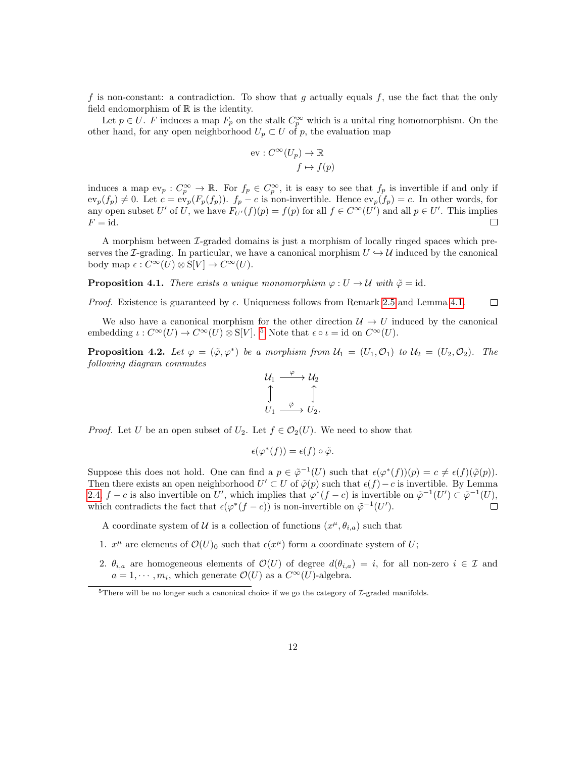f is non-constant: a contradiction. To show that g actually equals f, use the fact that the only field endomorphism of  $\mathbb R$  is the identity.

Let  $p \in U$ . F induces a map  $F_p$  on the stalk  $C_p^{\infty}$  which is a unital ring homomorphism. On the other hand, for any open neighborhood  $U_p \subset U$  of p, the evaluation map

$$
\text{ev}: C^{\infty}(U_p) \to \mathbb{R}
$$

$$
f \mapsto f(p)
$$

induces a map  $ev_p: C_p^{\infty} \to \mathbb{R}$ . For  $f_p \in C_p^{\infty}$ , it is easy to see that  $f_p$  is invertible if and only if  $ev_p(f_p) \neq 0$ . Let  $c = ev_p(F_p(f_p))$ .  $f_p - c$  is non-invertible. Hence  $ev_p(f_p) = c$ . In other words, for any open subset U' of U, we have  $F_{U'}(f)(p) = f(p)$  for all  $f \in C^{\infty}(U')$  and all  $p \in U'$ . This implies  $F = id$ .  $\Box$ 

A morphism between I-graded domains is just a morphism of locally ringed spaces which preserves the I-grading. In particular, we have a canonical morphism  $U \hookrightarrow \mathcal{U}$  induced by the canonical body map  $\epsilon: C^{\infty}(U) \otimes S[V] \to C^{\infty}(U)$ .

<span id="page-13-2"></span>**Proposition 4.1.** There exists a unique monomorphism  $\varphi : U \to U$  with  $\tilde{\varphi} = id$ .

*Proof.* Existence is guaranteed by  $\epsilon$ . Uniqueness follows from Remark [2.5](#page-9-2) and Lemma [4.1.](#page-12-2)  $\Box$ 

We also have a canonical morphism for the other direction  $\mathcal{U} \to U$  induced by the canonical embedding  $\iota: C^{\infty}(U) \to C^{\infty}(U) \otimes S[V]$ . <sup>[5](#page-13-0)</sup> Note that  $\epsilon \circ \iota = id$  on  $C^{\infty}(U)$ .

<span id="page-13-1"></span>**Proposition 4.2.** Let  $\varphi = (\tilde{\varphi}, \varphi^*)$  be a morphism from  $\mathcal{U}_1 = (U_1, \mathcal{O}_1)$  to  $\mathcal{U}_2 = (U_2, \mathcal{O}_2)$ . The following diagram commutes

$$
\begin{array}{ccc}\nU_1 & \xrightarrow{\varphi} & U_2 \\
\uparrow & & \uparrow \\
U_1 & \xrightarrow{\tilde{\varphi}} & U_2.\n\end{array}
$$

*Proof.* Let U be an open subset of  $U_2$ . Let  $f \in \mathcal{O}_2(U)$ . We need to show that

$$
\epsilon(\varphi^*(f)) = \epsilon(f) \circ \tilde{\varphi}.
$$

Suppose this does not hold. One can find a  $p \in \tilde{\varphi}^{-1}(U)$  such that  $\epsilon(\varphi^*(f))(p) = c \neq \epsilon(f)(\tilde{\varphi}(p)).$ Then there exists an open neighborhood  $U' \subset U$  of  $\tilde{\varphi}(p)$  such that  $\epsilon(f) - c$  is invertible. By Lemma [2.4,](#page-11-0)  $f - c$  is also invertible on U', which implies that  $\varphi^*(f - c)$  is invertible on  $\tilde{\varphi}^{-1}(U') \subset \tilde{\varphi}^{-1}(U)$ , which contradicts the fact that  $\epsilon(\varphi^*(f-c))$  is non-invertible on  $\tilde{\varphi}^{-1}(U')$ .

A coordinate system of U is a collection of functions  $(x^{\mu}, \theta_{i,a})$  such that

- 1.  $x^{\mu}$  are elements of  $\mathcal{O}(U)_{0}$  such that  $\epsilon(x^{\mu})$  form a coordinate system of U;
- 2.  $\theta_{i,a}$  are homogeneous elements of  $\mathcal{O}(U)$  of degree  $d(\theta_{i,a}) = i$ , for all non-zero  $i \in \mathcal{I}$  and  $a = 1, \dots, m_i$ , which generate  $\mathcal{O}(U)$  as a  $C^{\infty}(U)$ -algebra.

<span id="page-13-0"></span><sup>&</sup>lt;sup>5</sup>There will be no longer such a canonical choice if we go the category of  $\mathcal{I}$ -graded manifolds.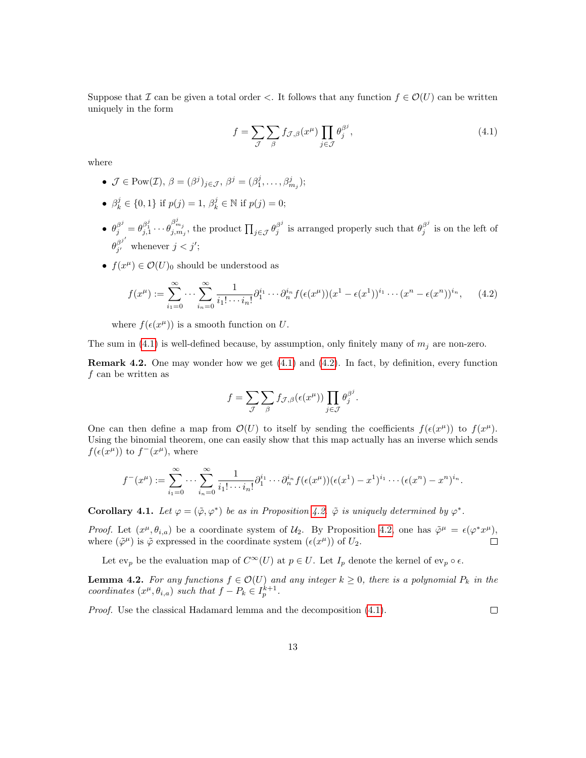Suppose that I can be given a total order <. It follows that any function  $f \in \mathcal{O}(U)$  can be written uniquely in the form

<span id="page-14-0"></span>
$$
f = \sum_{\mathcal{J}} \sum_{\beta} f_{\mathcal{J},\beta}(x^{\mu}) \prod_{j \in \mathcal{J}} \theta_j^{\beta^j}, \qquad (4.1)
$$

where

- $\mathcal{J} \in \text{Pow}(\mathcal{I}), \ \beta = (\beta^j)_{j \in \mathcal{J}}, \ \beta^j = (\beta^j_1, \dots, \beta^j_{m_j});$
- $\beta_k^j \in \{0, 1\}$  if  $p(j) = 1, \beta_k^j \in \mathbb{N}$  if  $p(j) = 0$ ;
- $\theta_j^{\beta^j} = \theta_{j,1}^{\beta_1^j} \cdots \theta_{j,m_j}^{\beta_{m_j}^j}$ , the product  $\prod_{j \in \mathcal{J}} \theta_j^{\beta^j}$  $\beta_j^j$  is arranged properly such that  $\theta_j^{\beta^j}$  $j^{\circ}$  is on the left of  $\theta_{i'}^{\beta^{j'}}$  $j'$  whenever  $j < j'$ ;
- $f(x^{\mu}) \in \mathcal{O}(U)_0$  should be understood as

$$
f(x^{\mu}) := \sum_{i_1=0}^{\infty} \cdots \sum_{i_n=0}^{\infty} \frac{1}{i_1! \cdots i_n!} \partial_1^{i_1} \cdots \partial_n^{i_n} f(\epsilon(x^{\mu})) (x^1 - \epsilon(x^1))^{i_1} \cdots (x^n - \epsilon(x^n))^{i_n}, \qquad (4.2)
$$

where  $f(\epsilon(x^{\mu}))$  is a smooth function on U.

The sum in [\(4.1\)](#page-14-0) is well-defined because, by assumption, only finitely many of  $m_i$  are non-zero.

**Remark 4.2.** One may wonder how we get  $(4.1)$  and  $(4.2)$ . In fact, by definition, every function  $f$  can be written as

<span id="page-14-1"></span>
$$
f = \sum_{\mathcal{J}} \sum_{\beta} f_{\mathcal{J},\beta}(\epsilon(x^{\mu})) \prod_{j \in \mathcal{J}} \theta_j^{\beta^j}.
$$

One can then define a map from  $\mathcal{O}(U)$  to itself by sending the coefficients  $f(\epsilon(x^{\mu}))$  to  $f(x^{\mu})$ . Using the binomial theorem, one can easily show that this map actually has an inverse which sends  $f(\epsilon(x^{\mu}))$  to  $f^-(x^{\mu})$ , where

$$
f^{-}(x^{\mu}) := \sum_{i_1=0}^{\infty} \cdots \sum_{i_n=0}^{\infty} \frac{1}{i_1! \cdots i_n!} \partial_1^{i_1} \cdots \partial_n^{i_n} f(\epsilon(x^{\mu})) (\epsilon(x^1) - x^1)^{i_1} \cdots (\epsilon(x^n) - x^n)^{i_n}.
$$

<span id="page-14-3"></span>Corollary 4.1. Let  $\varphi = (\tilde{\varphi}, \varphi^*)$  be as in Proposition [4.2.](#page-13-1)  $\tilde{\varphi}$  is uniquely determined by  $\varphi^*$ .

Proof. Let  $(x^{\mu}, \theta_{i,a})$  be a coordinate system of  $\mathcal{U}_2$ . By Proposition [4.2,](#page-13-1) one has  $\tilde{\varphi}^{\mu} = \epsilon(\varphi^* x^{\mu}),$ where  $(\tilde{\varphi}^{\mu})$  is  $\tilde{\varphi}$  expressed in the coordinate system  $(\epsilon(x^{\mu}))$  of  $U_2$ .

Let  $ev_p$  be the evaluation map of  $C^{\infty}(U)$  at  $p \in U$ . Let  $I_p$  denote the kernel of  $ev_p \circ \epsilon$ .

<span id="page-14-2"></span>**Lemma 4.2.** For any functions  $f \in \mathcal{O}(U)$  and any integer  $k \geq 0$ , there is a polynomial  $P_k$  in the coordinates  $(x^{\mu}, \theta_{i,a})$  such that  $f - P_k \in I_p^{k+1}$ .

 $\Box$ 

Proof. Use the classical Hadamard lemma and the decomposition [\(4.1\)](#page-14-0).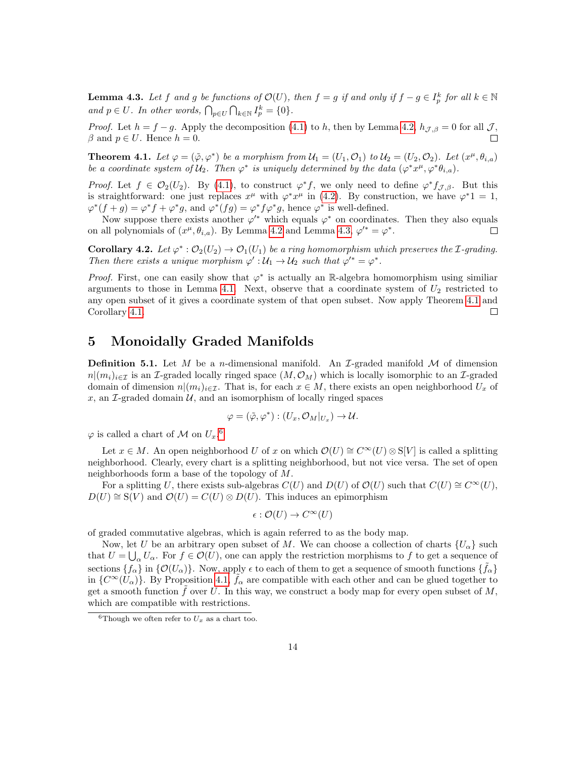<span id="page-15-0"></span>**Lemma 4.3.** Let f and g be functions of  $\mathcal{O}(U)$ , then  $f = g$  if and only if  $f - g \in I_p^k$  for all  $k \in \mathbb{N}$ and  $p \in U$ . In other words,  $\bigcap_{p \in U} \bigcap_{k \in \mathbb{N}} I_p^k = \{0\}.$ 

*Proof.* Let  $h = f - g$ . Apply the decomposition [\(4.1\)](#page-14-0) to h, then by Lemma [4.2,](#page-14-2)  $h_{\mathcal{J},\beta} = 0$  for all  $\mathcal{J},$  $\beta$  and  $p \in U$ . Hence  $h = 0$ .  $\Box$ 

<span id="page-15-1"></span>**Theorem 4.1.** Let  $\varphi = (\tilde{\varphi}, \varphi^*)$  be a morphism from  $\mathcal{U}_1 = (U_1, \mathcal{O}_1)$  to  $\mathcal{U}_2 = (U_2, \mathcal{O}_2)$ . Let  $(x^{\mu}, \theta_{i,a})$ be a coordinate system of  $\mathcal{U}_2$ . Then  $\varphi^*$  is uniquely determined by the data  $(\varphi^* x^{\mu}, \varphi^* \theta_{i,a})$ .

Proof. Let  $f \in \mathcal{O}_2(U_2)$ . By [\(4.1\)](#page-14-0), to construct  $\varphi^* f$ , we only need to define  $\varphi^* f_{\mathcal{J},\beta}$ . But this is straightforward: one just replaces  $x^{\mu}$  with  $\varphi^* x^{\mu}$  in [\(4.2\)](#page-14-1). By construction, we have  $\varphi^* 1 = 1$ ,  $\varphi^*(f+g) = \varphi^*f + \varphi^*g$ , and  $\varphi^*(fg) = \varphi^*f\varphi^*g$ , hence  $\varphi^*$  is well-defined.

Now suppose there exists another  $\varphi'^*$  which equals  $\varphi^*$  on coordinates. Then they also equals on all polynomials of  $(x^{\mu}, \theta_{i,a})$ . By Lemma [4.2](#page-14-2) and Lemma [4.3,](#page-15-0)  $\varphi'^* = \varphi^*$ .  $\Box$ 

<span id="page-15-3"></span>**Corollary 4.2.** Let  $\varphi^* : \mathcal{O}_2(U_2) \to \mathcal{O}_1(U_1)$  be a ring homomorphism which preserves the *I*-grading. Then there exists a unique morphism  $\varphi': \mathcal{U}_1 \to \mathcal{U}_2$  such that  $\varphi'^* = \varphi^*$ .

*Proof.* First, one can easily show that  $\varphi^*$  is actually an R-algebra homomorphism using similiar arguments to those in Lemma [4.1.](#page-12-2) Next, observe that a coordinate system of  $U_2$  restricted to any open subset of it gives a coordinate system of that open subset. Now apply Theorem [4.1](#page-15-1) and Corollary [4.1.](#page-14-3)  $\Box$ 

#### 5 Monoidally Graded Manifolds

**Definition 5.1.** Let M be a n-dimensional manifold. An  $\mathcal{I}$ -graded manifold M of dimension  $n|(m_i)_{i\in\mathcal{I}}$  is an *I*-graded locally ringed space  $(M, \mathcal{O}_M)$  which is locally isomorphic to an *I*-graded domain of dimension  $n|(m_i)_{i\in\mathcal{I}}$ . That is, for each  $x\in M$ , there exists an open neighborhood  $U_x$  of  $x$ , an  $\mathcal{I}$ -graded domain  $\mathcal{U}$ , and an isomorphism of locally ringed spaces

$$
\varphi = (\tilde{\varphi}, \varphi^*) : (U_x, \mathcal{O}_M|_{U_x}) \to \mathcal{U}.
$$

 $\varphi$  is called a chart of M on  $U_x$ .<sup>[6](#page-15-2)</sup>

Let  $x \in M$ . An open neighborhood U of x on which  $\mathcal{O}(U) \cong C^{\infty}(U) \otimes S[V]$  is called a splitting neighborhood. Clearly, every chart is a splitting neighborhood, but not vice versa. The set of open neighborhoods form a base of the topology of M.

For a splitting U, there exists sub-algebras  $C(U)$  and  $D(U)$  of  $\mathcal{O}(U)$  such that  $C(U) \cong C^{\infty}(U)$ ,  $D(U) \cong S(V)$  and  $\mathcal{O}(U) = C(U) \otimes D(U)$ . This induces an epimorphism

$$
\epsilon: \mathcal{O}(U) \to C^{\infty}(U)
$$

of graded commutative algebras, which is again referred to as the body map.

Now, let U be an arbitrary open subset of M. We can choose a collection of charts  $\{U_{\alpha}\}\$  such that  $U = \bigcup_{\alpha} U_{\alpha}$ . For  $f \in \mathcal{O}(U)$ , one can apply the restriction morphisms to f to get a sequence of sections  $\{f_\alpha\}$  in  $\{\mathcal{O}(U_\alpha)\}\$ . Now, apply  $\epsilon$  to each of them to get a sequence of smooth functions  $\{\tilde{f}_\alpha\}$ in  $\{C^{\infty}(U_{\alpha})\}$ . By Proposition [4.1,](#page-13-2)  $\tilde{f}_{\alpha}$  are compatible with each other and can be glued together to get a smooth function  $f$  over U. In this way, we construct a body map for every open subset of  $M$ , which are compatible with restrictions.

<span id="page-15-2"></span><sup>&</sup>lt;sup>6</sup>Though we often refer to  $U_x$  as a chart too.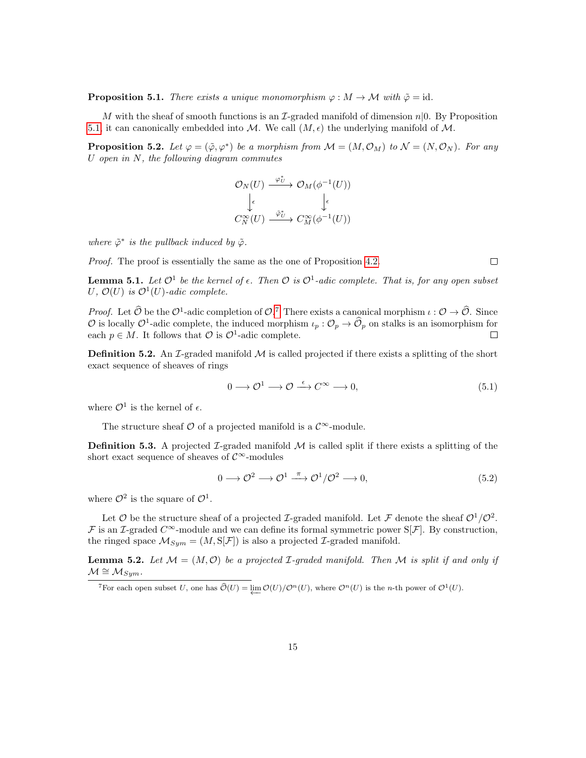<span id="page-16-0"></span>**Proposition 5.1.** There exists a unique monomorphism  $\varphi : M \to M$  with  $\tilde{\varphi} = id$ .

M with the sheaf of smooth functions is an  $\mathcal{I}\text{-graded manifold}$  of dimension  $n|0$ . By Proposition [5.1,](#page-16-0) it can canonically embedded into M. We call  $(M, \epsilon)$  the underlying manifold of M.

**Proposition 5.2.** Let  $\varphi = (\tilde{\varphi}, \varphi^*)$  be a morphism from  $\mathcal{M} = (M, \mathcal{O}_M)$  to  $\mathcal{N} = (N, \mathcal{O}_N)$ . For any U open in  $N$ , the following diagram commutes

$$
\mathcal{O}_N(U) \xrightarrow{\varphi_U^*} \mathcal{O}_M(\phi^{-1}(U))
$$
  

$$
\downarrow_{\epsilon} \qquad \qquad \downarrow_{\epsilon}
$$
  

$$
C_N^{\infty}(U) \xrightarrow{\tilde{\varphi}_U^*} C_M^{\infty}(\phi^{-1}(U))
$$

where  $\tilde{\varphi}^*$  is the pullback induced by  $\tilde{\varphi}$ .

Proof. The proof is essentially the same as the one of Proposition [4.2.](#page-13-1)

<span id="page-16-4"></span><span id="page-16-2"></span> $\Box$ 

<span id="page-16-3"></span>**Lemma 5.1.** Let  $\mathcal{O}^1$  be the kernel of  $\epsilon$ . Then  $\mathcal{O}$  is  $\mathcal{O}^1$ -adic complete. That is, for any open subset U,  $\mathcal{O}(U)$  is  $\mathcal{O}^1(U)$ -adic complete.

*Proof.* Let  $\widehat{\mathcal{O}}$  be the  $\mathcal{O}^1$ -adic completion of  $\mathcal{O}$ . There exists a canonical morphism  $\iota : \mathcal{O} \to \widehat{\mathcal{O}}$ . Since  $\mathcal{O}$  is locally  $\mathcal{O}^1$ -adic complete, the induced morphism  $\iota_p : \mathcal{O}_p \to \widehat{\mathcal{O}}_p$  on stalks is an isomorphism for each  $p \in M$ . It follows that  $\mathcal{O}$  is  $\mathcal{O}^1$ -adic complete.

**Definition 5.2.** An I-graded manifold  $M$  is called projected if there exists a splitting of the short exact sequence of sheaves of rings

$$
0 \longrightarrow \mathcal{O}^1 \longrightarrow \mathcal{O} \stackrel{\epsilon}{\longrightarrow} C^{\infty} \longrightarrow 0,
$$
\n
$$
(5.1)
$$

where  $\mathcal{O}^1$  is the kernel of  $\epsilon$ .

The structure sheaf  $\mathcal O$  of a projected manifold is a  $\mathcal C^{\infty}$ -module.

**Definition 5.3.** A projected  $\mathcal{I}$ -graded manifold  $\mathcal{M}$  is called split if there exists a splitting of the short exact sequence of sheaves of  $\mathcal{C}^{\infty}$ -modules

$$
0 \longrightarrow \mathcal{O}^2 \longrightarrow \mathcal{O}^1 \stackrel{\pi}{\longrightarrow} \mathcal{O}^1/\mathcal{O}^2 \longrightarrow 0,
$$
\n
$$
(5.2)
$$

where  $\mathcal{O}^2$  is the square of  $\mathcal{O}^1$ .

Let  $\mathcal O$  be the structure sheaf of a projected *L*-graded manifold. Let  $\mathcal F$  denote the sheaf  $\mathcal O^1/\mathcal O^2$ . F is an I-graded  $C^{\infty}$ -module and we can define its formal symmetric power  $S[\mathcal{F}]$ . By construction, the ringed space  $\mathcal{M}_{Sym} = (M, S[\mathcal{F}])$  is also a projected *L*-graded manifold.

**Lemma 5.2.** Let  $M = (M, O)$  be a projected *I*-graded manifold. Then M is split if and only if  $\mathcal{M} \cong \mathcal{M}_{Sym}.$ 

<span id="page-16-1"></span><sup>&</sup>lt;sup>7</sup>For each open subset U, one has  $\widehat{\mathcal{O}}(U) = \varprojlim \mathcal{O}(U)/\mathcal{O}^n(U)$ , where  $\mathcal{O}^n(U)$  is the n-th power of  $\mathcal{O}^1(U)$ .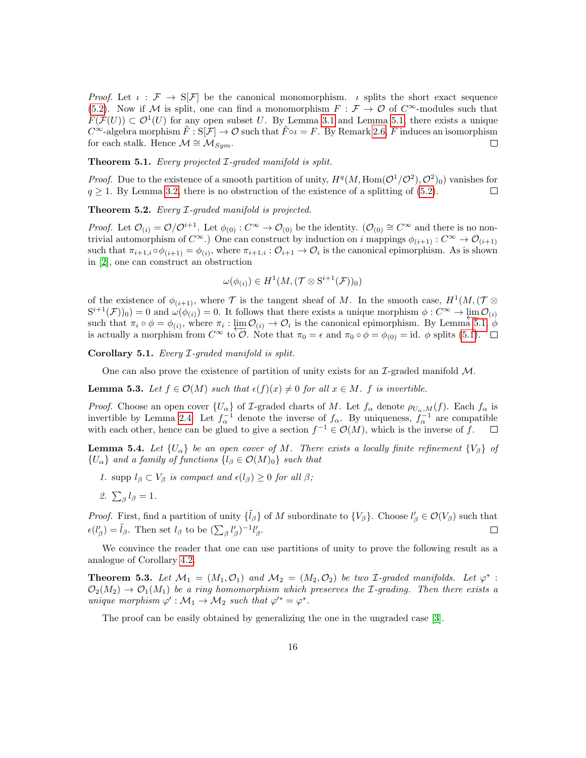Proof. Let  $\iota : \mathcal{F} \to \mathbb{S}[\mathcal{F}]$  be the canonical monomorphism.  $\iota$  splits the short exact sequence [\(5.2\)](#page-16-2). Now if M is split, one can find a monomorphism  $F : \mathcal{F} \to \mathcal{O}$  of  $C^{\infty}$ -modules such that  $F(\mathcal{F}(U)) \subset \mathcal{O}^1(U)$  for any open subset U. By Lemma [3.1](#page-12-3) and Lemma [5.1,](#page-16-3) there exists a unique  $C^{\infty}$ -algebra morphism  $\bar{F}: S[\mathcal{F}] \to \mathcal{O}$  such that  $\bar{F} \circ \iota = F$ . By Remark [2.6,](#page-10-1)  $\bar{F}$  induces an isomorphism for each stalk. Hence  $\mathcal{M} \cong \mathcal{M}_{Sym}$ .  $\Box$ 

Theorem 5.1. Every projected *I*-graded manifold is split.

*Proof.* Due to the existence of a smooth partition of unity,  $H^q(M, \text{Hom}(\mathcal{O}^1/\mathcal{O}^2), \mathcal{O}^2)_0$  vanishes for  $q \geq 1$ . By Lemma [3.2,](#page-12-4) there is no obstruction of the existence of a splitting of [\(5.2\)](#page-16-2).  $\Box$ 

Theorem 5.2. Every *I*-graded manifold is projected.

*Proof.* Let  $\mathcal{O}_{(i)} = \mathcal{O}/\mathcal{O}^{i+1}$ . Let  $\phi_{(0)} : C^{\infty} \to \mathcal{O}_{(0)}$  be the identity.  $(\mathcal{O}_{(0)} \cong C^{\infty}$  and there is no nontrivial automorphism of  $C^{\infty}$ .) One can construct by induction on i mappings  $\phi_{(i+1)}$ :  $C^{\infty} \to \mathcal{O}_{(i+1)}$ such that  $\pi_{i+1,i} \circ \phi_{(i+1)} = \phi_{(i)}$ , where  $\pi_{i+1,i} : \mathcal{O}_{i+1} \to \mathcal{O}_i$  is the canonical epimorphism. As is shown in [\[2\]](#page-18-1), one can construct an obstruction

$$
\omega(\phi_{(i)}) \in H^1(M, (\mathcal{T} \otimes \mathrm{S}^{i+1}(\mathcal{F}))_0)
$$

of the existence of  $\phi_{(i+1)}$ , where  $\mathcal T$  is the tangent sheaf of M. In the smooth case,  $H^1(M,(\mathcal T\otimes$  $S^{i+1}(\mathcal{F})_0$  = 0 and  $\omega(\phi_{(i)}) = 0$ . It follows that there exists a unique morphism  $\phi: C^{\infty} \to \varprojlim_{i \to \infty} \mathcal{O}_{(i)}$ such that  $\pi_i \circ \phi = \phi_{(i)}$ , where  $\pi_i : \lim_{i \to \infty} \mathcal{O}_{(i)} \to \mathcal{O}_i$  is the canonical epimorphism. By Lemma [5.1,](#page-16-3)  $\phi$ is actually a morphism from  $C^{\infty}$  to  $\mathcal{O}$ . Note that  $\pi_0 = \epsilon$  and  $\pi_0 \circ \phi = \phi_{(0)} = id$ .  $\phi$  splits [\(5.1\)](#page-16-4).  $\Box$ 

Corollary 5.1. Every I-graded manifold is split.

One can also prove the existence of partition of unity exists for an  $\mathcal{I}\text{-graded manifold }\mathcal{M}.$ 

**Lemma 5.3.** Let  $f \in \mathcal{O}(M)$  such that  $\epsilon(f)(x) \neq 0$  for all  $x \in M$ . f is invertible.

*Proof.* Choose an open cover  $\{U_\alpha\}$  of *I*-graded charts of *M*. Let  $f_\alpha$  denote  $\rho_{U_\alpha,M}(f)$ . Each  $f_\alpha$  is invertible by Lemma [2.4.](#page-11-0) Let  $f_{\alpha}^{-1}$  denote the inverse of  $f_{\alpha}$ . By uniqueness,  $f_{\alpha}^{-1}$  are compatible with each other, hence can be glued to give a section  $f^{-1} \in \mathcal{O}(M)$ , which is the inverse of f.

**Lemma 5.4.** Let  $\{U_{\alpha}\}\$ be an open cover of M. There exists a locally finite refinement  $\{V_{\beta}\}\$  of  ${U_\alpha}$  and a family of functions  ${l_\beta \in \mathcal{O}(M)_0}$  such that

1. supp  $l_\beta \subset V_\beta$  is compact and  $\epsilon(l_\beta) \geq 0$  for all  $\beta$ ;

2. 
$$
\sum_{\beta} l_{\beta} = 1
$$
.

*Proof.* First, find a partition of unity  $\{\tilde{l}_{\beta}\}\$  of M subordinate to  $\{V_{\beta}\}\$ . Choose  $l'_{\beta} \in \mathcal{O}(V_{\beta})$  such that  $\epsilon(l'_{\beta}) = \tilde{l}_{\beta}$ . Then set  $l_{\beta}$  to be  $(\sum_{\beta} l'_{\beta})^{-1} l'_{\beta}$ .  $\Box$ 

We convince the reader that one can use partitions of unity to prove the following result as a analogue of Corollary [4.2.](#page-15-3)

**Theorem 5.3.** Let  $\mathcal{M}_1 = (M_1, \mathcal{O}_1)$  and  $\mathcal{M}_2 = (M_2, \mathcal{O}_2)$  be two *I*-graded manifolds. Let  $\varphi^*$ :  $\mathcal{O}_2(M_2) \to \mathcal{O}_1(M_1)$  be a ring homomorphism which preserves the *I*-grading. Then there exists a unique morphism  $\varphi' : \mathcal{M}_1 \to \mathcal{M}_2$  such that  $\varphi'^* = \varphi^*$ .

The proof can be easily obtained by generalizing the one in the ungraded case [\[3\]](#page-18-2).